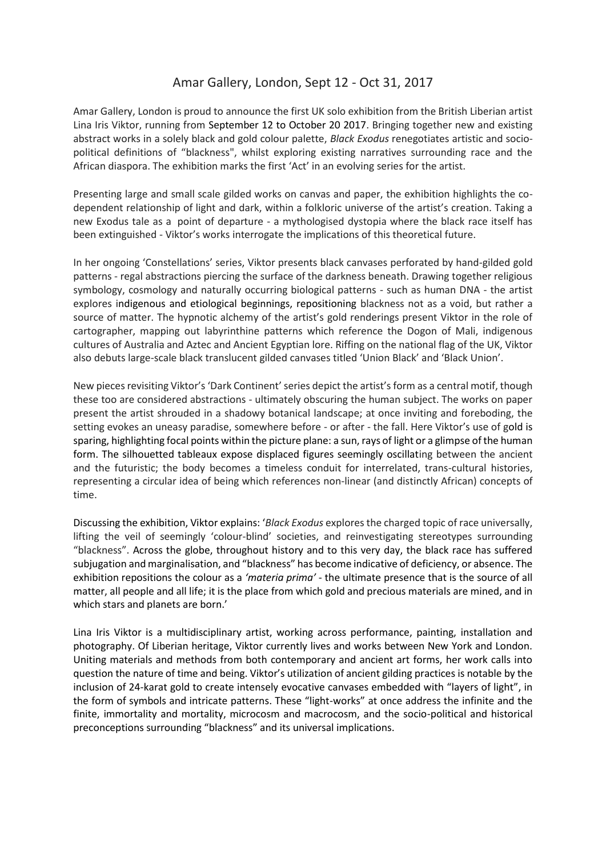## Amar Gallery, London, Sept 12 - Oct 31, 2017

Amar Gallery, London is proud to announce the first UK solo exhibition from the British Liberian artist Lina Iris Viktor, running from September 12 to October 20 2017. Bringing together new and existing abstract works in a solely black and gold colour palette, *Black Exodus* renegotiates artistic and sociopolitical definitions of "blackness", whilst exploring existing narratives surrounding race and the African diaspora. The exhibition marks the first 'Act' in an evolving series for the artist.

Presenting large and small scale gilded works on canvas and paper, the exhibition highlights the codependent relationship of light and dark, within a folkloric universe of the artist's creation. Taking a new Exodus tale as a point of departure - a mythologised dystopia where the black race itself has been extinguished - Viktor's works interrogate the implications of this theoretical future.

In her ongoing 'Constellations' series, Viktor presents black canvases perforated by hand-gilded gold patterns - regal abstractions piercing the surface of the darkness beneath. Drawing together religious symbology, cosmology and naturally occurring biological patterns - such as human DNA - the artist explores indigenous and etiological beginnings, repositioning blackness not as a void, but rather a source of matter. The hypnotic alchemy of the artist's gold renderings present Viktor in the role of cartographer, mapping out labyrinthine patterns which reference the Dogon of Mali, indigenous cultures of Australia and Aztec and Ancient Egyptian lore. Riffing on the national flag of the UK, Viktor also debuts large-scale black translucent gilded canvases titled 'Union Black' and 'Black Union'.

New pieces revisiting Viktor's 'Dark Continent' series depict the artist's form as a central motif, though these too are considered abstractions - ultimately obscuring the human subject. The works on paper present the artist shrouded in a shadowy botanical landscape; at once inviting and foreboding, the setting evokes an uneasy paradise, somewhere before - or after - the fall. Here Viktor's use of gold is sparing, highlighting focal points within the picture plane: a sun, rays of light or a glimpse of the human form. The silhouetted tableaux expose displaced figures seemingly oscillating between the ancient and the futuristic; the body becomes a timeless conduit for interrelated, trans-cultural histories, representing a circular idea of being which references non-linear (and distinctly African) concepts of time.

Discussing the exhibition, Viktor explains: '*Black Exodus* explores the charged topic of race universally, lifting the veil of seemingly 'colour-blind' societies, and reinvestigating stereotypes surrounding "blackness". Across the globe, throughout history and to this very day, the black race has suffered subjugation and marginalisation, and "blackness" has become indicative of deficiency, or absence. The exhibition repositions the colour as a *'materia prima'* - the ultimate presence that is the source of all matter, all people and all life; it is the place from which gold and precious materials are mined, and in which stars and planets are born.'

Lina Iris Viktor is a multidisciplinary artist, working across performance, painting, installation and photography. Of Liberian heritage, Viktor currently lives and works between New York and London. Uniting materials and methods from both contemporary and ancient art forms, her work calls into question the nature of time and being. Viktor's utilization of ancient gilding practices is notable by the inclusion of 24-karat gold to create intensely evocative canvases embedded with "layers of light", in the form of symbols and intricate patterns. These "light-works" at once address the infinite and the finite, immortality and mortality, microcosm and macrocosm, and the socio-political and historical preconceptions surrounding "blackness" and its universal implications.